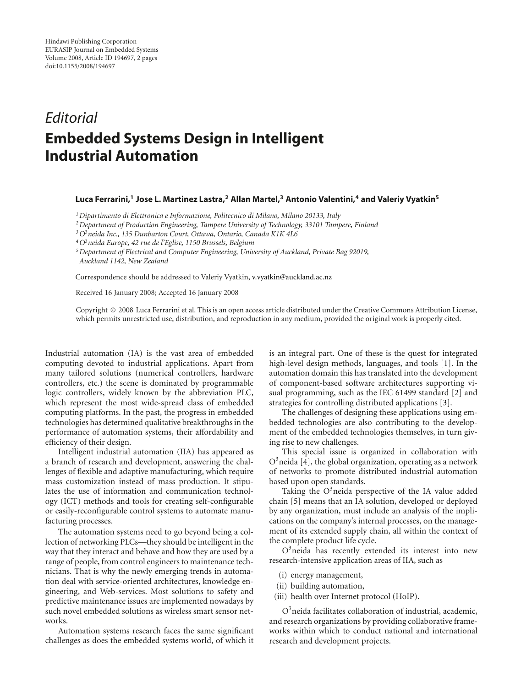## *Editorial* **Embedded Systems Design in Intelligent Industrial Automation**

## **Luca Ferrarini,1 Jose L. Martinez Lastra,2 Allan Martel,3 Antonio Valentini,4 and Valeriy Vyatkin5**

*1Dipartimento di Elettronica e Informazione, Politecnico di Milano, Milano 20133, Italy*

*2Department of Production Engineering, Tampere University of Technology, 33101 Tampere, Finland*

*3O*<sup>3</sup>*neida Inc., 135 Dunbarton Court, Ottawa, Ontario, Canada K1K 4L6*

*4O*<sup>3</sup>*neida Europe, 42 rue de l'Eglise, 1150 Brussels, Belgium*

*5Department of Electrical and Computer Engineering, University of Auckland, Private Bag 92019, Auckland 1142, New Zealand*

Correspondence should be addressed to Valeriy Vyatkin, v.vyatkin@auckland.ac.nz

Received 16 January 2008; Accepted 16 January 2008

Copyright © 2008 Luca Ferrarini et al. This is an open access article distributed under the Creative Commons Attribution License, which permits unrestricted use, distribution, and reproduction in any medium, provided the original work is properly cited.

Industrial automation (IA) is the vast area of embedded computing devoted to industrial applications. Apart from many tailored solutions (numerical controllers, hardware controllers, etc.) the scene is dominated by programmable logic controllers, widely known by the abbreviation PLC, which represent the most wide-spread class of embedded computing platforms. In the past, the progress in embedded technologies has determined qualitative breakthroughs in the performance of automation systems, their affordability and efficiency of their design.

Intelligent industrial automation (IIA) has appeared as a branch of research and development, answering the challenges of flexible and adaptive manufacturing, which require mass customization instead of mass production. It stipulates the use of information and communication technology (ICT) methods and tools for creating self-configurable or easily-reconfigurable control systems to automate manufacturing processes.

The automation systems need to go beyond being a collection of networking PLCs—they should be intelligent in the way that they interact and behave and how they are used by a range of people, from control engineers to maintenance technicians. That is why the newly emerging trends in automation deal with service-oriented architectures, knowledge engineering, and Web-services. Most solutions to safety and predictive maintenance issues are implemented nowadays by such novel embedded solutions as wireless smart sensor networks.

Automation systems research faces the same significant challenges as does the embedded systems world, of which it

is an integral part. One of these is the quest for integrated high-level design methods, languages, and tools [1]. In the automation domain this has translated into the development of component-based software architectures supporting visual programming, such as the IEC 61499 standard [2] and strategies for controlling distributed applications [3].

The challenges of designing these applications using embedded technologies are also contributing to the development of the embedded technologies themselves, in turn giving rise to new challenges.

This special issue is organized in collaboration with  $O<sup>3</sup>$ neida [4], the global organization, operating as a network of networks to promote distributed industrial automation based upon open standards.

Taking the  $O<sup>3</sup>$ neida perspective of the IA value added chain [5] means that an IA solution, developed or deployed by any organization, must include an analysis of the implications on the company's internal processes, on the management of its extended supply chain, all within the context of the complete product life cycle.

O<sup>3</sup> neida has recently extended its interest into new research-intensive application areas of IIA, such as

- (i) energy management,
- (ii) building automation,
- (iii) health over Internet protocol (HoIP).

O3 neida facilitates collaboration of industrial, academic, and research organizations by providing collaborative frameworks within which to conduct national and international research and development projects.